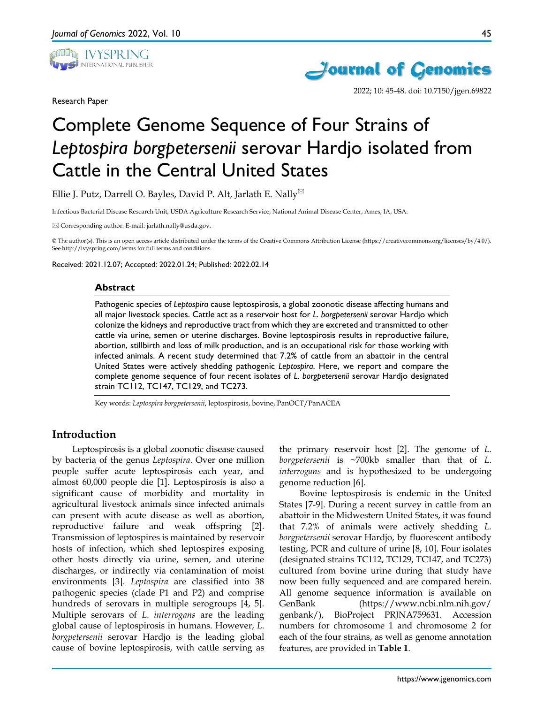

Research Paper



2022; 10: 45-48. doi: 10.7150/jgen.69822

# Complete Genome Sequence of Four Strains of *Leptospira borgpetersenii* serovar Hardjo isolated from Cattle in the Central United States

Ellie J. Putz, Darrell O. Bayles, David P. Alt, Jarlath E. Nally

Infectious Bacterial Disease Research Unit, USDA Agriculture Research Service, National Animal Disease Center, Ames, IA, USA.

Corresponding author: E-mail: jarlath.nally@usda.gov.

© The author(s). This is an open access article distributed under the terms of the Creative Commons Attribution License (https://creativecommons.org/licenses/by/4.0/). See http://ivyspring.com/terms for full terms and conditions.

Received: 2021.12.07; Accepted: 2022.01.24; Published: 2022.02.14

#### **Abstract**

Pathogenic species of *Leptospira* cause leptospirosis, a global zoonotic disease affecting humans and all major livestock species. Cattle act as a reservoir host for *L*. *borgpetersenii* serovar Hardjo which colonize the kidneys and reproductive tract from which they are excreted and transmitted to other cattle via urine, semen or uterine discharges. Bovine leptospirosis results in reproductive failure, abortion, stillbirth and loss of milk production, and is an occupational risk for those working with infected animals. A recent study determined that 7.2% of cattle from an abattoir in the central United States were actively shedding pathogenic *Leptospira*. Here, we report and compare the complete genome sequence of four recent isolates of *L*. *borgpetersenii* serovar Hardjo designated strain TC112, TC147, TC129, and TC273.

Key words: *Leptospira borgpetersenii*, leptospirosis, bovine, PanOCT/PanACEA

### **Introduction**

Leptospirosis is a global zoonotic disease caused by bacteria of the genus *Leptospira*. Over one million people suffer acute leptospirosis each year, and almost 60,000 people die [1]. Leptospirosis is also a significant cause of morbidity and mortality in agricultural livestock animals since infected animals can present with acute disease as well as abortion, reproductive failure and weak offspring [2]. Transmission of leptospires is maintained by reservoir hosts of infection, which shed leptospires exposing other hosts directly via urine, semen, and uterine discharges, or indirectly via contamination of moist environments [3]. *Leptospira* are classified into 38 pathogenic species (clade P1 and P2) and comprise hundreds of serovars in multiple serogroups [4, 5]. Multiple serovars of *L*. *interrogans* are the leading global cause of leptospirosis in humans. However, *L*. *borgpetersenii* serovar Hardjo is the leading global cause of bovine leptospirosis, with cattle serving as

the primary reservoir host [2]. The genome of *L*. *borgpetersenii* is ~700kb smaller than that of *L*. *interrogans* and is hypothesized to be undergoing genome reduction [6].

Bovine leptospirosis is endemic in the United States [7-9]. During a recent survey in cattle from an abattoir in the Midwestern United States, it was found that 7.2% of animals were actively shedding *L. borgpetersenii* serovar Hardjo, by fluorescent antibody testing, PCR and culture of urine [8, 10]. Four isolates (designated strains TC112, TC129, TC147, and TC273) cultured from bovine urine during that study have now been fully sequenced and are compared herein. All genome sequence information is available on GenBank (https://www.ncbi.nlm.nih.gov/ genbank/), BioProject PRJNA759631. Accession numbers for chromosome 1 and chromosome 2 for each of the four strains, as well as genome annotation features, are provided in **Table 1**.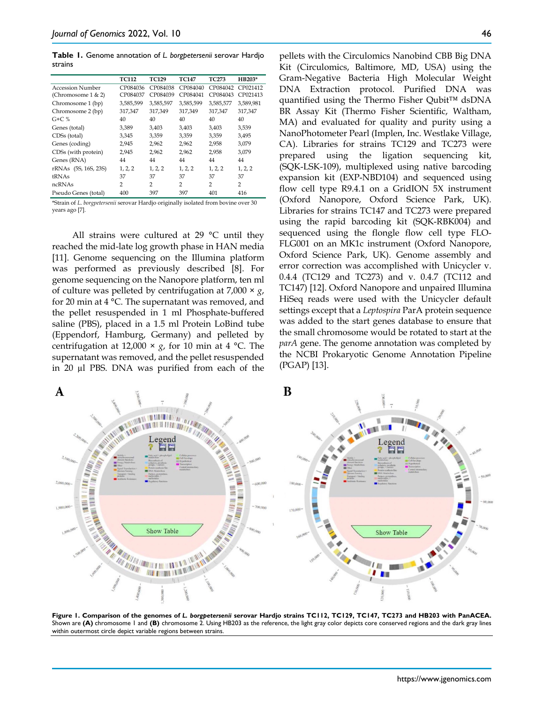**Table 1.** Genome annotation of *L. borgpetersenii* serovar Hardjo strains

|                          | <b>TC112</b>   | <b>TC129</b>   | <b>TC147</b>   | <b>TC273</b>   | HB203*         |
|--------------------------|----------------|----------------|----------------|----------------|----------------|
| Accession Number         | CP084036       | CP084038       | CP084040       | CP084042       | CP021412       |
| (Chromosome $1 < 2$ )    | CP084037       | CP084039       | CP084041       | CP084043       | CP021413       |
| Chromosome 1 (bp)        | 3,585,599      | 3,585,597      | 3,585,599      | 3,585,577      | 3,589,981      |
| Chromosome 2 (bp)        | 317,347        | 317,349        | 317,349        | 317,347        | 317,347        |
| $G + C$ %                | 40             | 40             | 40             | 40             | 40             |
| Genes (total)            | 3,389          | 3,403          | 3,403          | 3.403          | 3,539          |
| CDS <sub>s</sub> (total) | 3,345          | 3,359          | 3,359          | 3,359          | 3,495          |
| Genes (coding)           | 2,945          | 2,962          | 2.962          | 2,958          | 3,079          |
| CDSs (with protein)      | 2,945          | 2,962          | 2,962          | 2,958          | 3,079          |
| Genes (RNA)              | 44             | 44             | 44             | 44             | 44             |
| rRNAs (5S, 16S, 23S)     | 1, 2, 2        | 1, 2, 2        | 1, 2, 2        | 1, 2, 2        | 1, 2, 2        |
| <b>tRNAs</b>             | 37             | 37             | 37             | 37             | 37             |
| ncRNAs                   | $\overline{2}$ | $\overline{2}$ | $\overline{2}$ | $\overline{2}$ | $\overline{2}$ |
| Pseudo Genes (total)     | 400            | 397            | 397            | 401            | 416            |

\*Strain of *L*. *borgpetersenii* serovar Hardjo originally isolated from bovine over 30 years ago [7].

All strains were cultured at 29 °C until they reached the mid-late log growth phase in HAN media [11]. Genome sequencing on the Illumina platform was performed as previously described [8]. For genome sequencing on the Nanopore platform, ten ml of culture was pelleted by centrifugation at 7,000 × *g*, for 20 min at 4 °C. The supernatant was removed, and the pellet resuspended in 1 ml Phosphate-buffered saline (PBS), placed in a 1.5 ml Protein LoBind tube (Eppendorf, Hamburg, Germany) and pelleted by centrifugation at 12,000  $\times$  *g*, for 10 min at 4 °C. The supernatant was removed, and the pellet resuspended in 20 µl PBS. DNA was purified from each of the

pellets with the Circulomics Nanobind CBB Big DNA Kit (Circulomics, Baltimore, MD, USA) using the Gram-Negative Bacteria High Molecular Weight DNA Extraction protocol. Purified DNA was quantified using the Thermo Fisher Oubit™ dsDNA BR Assay Kit (Thermo Fisher Scientific, Waltham, MA) and evaluated for quality and purity using a NanoPhotometer Pearl (Implen, Inc. Westlake Village, CA). Libraries for strains TC129 and TC273 were prepared using the ligation sequencing kit, (SQK-LSK-109), multiplexed using native barcoding expansion kit (EXP-NBD104) and sequenced using flow cell type R9.4.1 on a GridION 5X instrument (Oxford Nanopore, Oxford Science Park, UK). Libraries for strains TC147 and TC273 were prepared using the rapid barcoding kit (SQK-RBK004) and sequenced using the flongle flow cell type FLO-FLG001 on an MK1c instrument (Oxford Nanopore, Oxford Science Park, UK). Genome assembly and error correction was accomplished with Unicycler v. 0.4.4 (TC129 and TC273) and v. 0.4.7 (TC112 and TC147) [12]. Oxford Nanopore and unpaired Illumina HiSeq reads were used with the Unicycler default settings except that a *Leptospira* ParA protein sequence was added to the start genes database to ensure that the small chromosome would be rotated to start at the *parA* gene. The genome annotation was completed by the NCBI Prokaryotic Genome Annotation Pipeline (PGAP) [13].



**Figure 1. Comparison of the genomes of** *L. borgpetersenii* **serovar Hardjo strains TC112, TC129, TC147, TC273 and HB203 with PanACEA.**  Shown are **(A)** chromosome 1 and **(B)** chromosome 2. Using HB203 as the reference, the light gray color depicts core conserved regions and the dark gray lines within outermost circle depict variable regions between strains.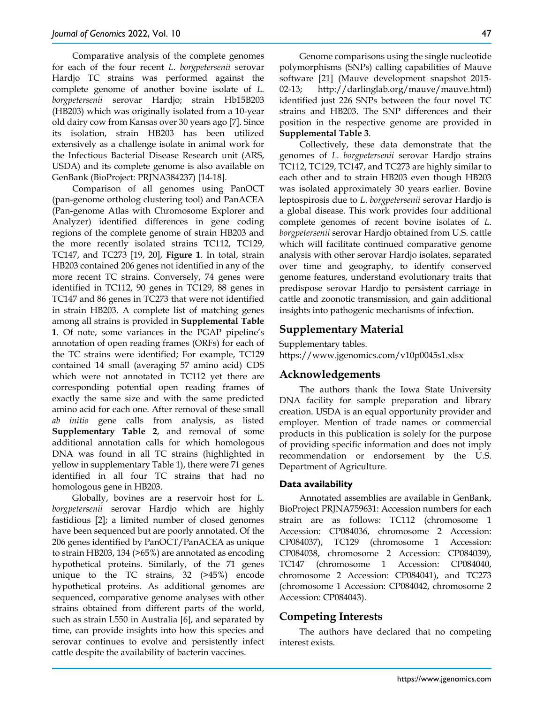Comparative analysis of the complete genomes for each of the four recent *L*. *borgpetersenii* serovar Hardjo TC strains was performed against the complete genome of another bovine isolate of *L*. *borgpetersenii* serovar Hardjo; strain Hb15B203 (HB203) which was originally isolated from a 10-year old dairy cow from Kansas over 30 years ago [7]. Since its isolation, strain HB203 has been utilized extensively as a challenge isolate in animal work for the Infectious Bacterial Disease Research unit (ARS, USDA) and its complete genome is also available on GenBank (BioProject: PRJNA384237) [14-18].

Comparison of all genomes using PanOCT (pan-genome ortholog clustering tool) and PanACEA (Pan-genome Atlas with Chromosome Explorer and Analyzer) identified differences in gene coding regions of the complete genome of strain HB203 and the more recently isolated strains TC112, TC129, TC147, and TC273 [19, 20], **Figure 1**. In total, strain HB203 contained 206 genes not identified in any of the more recent TC strains. Conversely, 74 genes were identified in TC112, 90 genes in TC129, 88 genes in TC147 and 86 genes in TC273 that were not identified in strain HB203. A complete list of matching genes among all strains is provided in **Supplemental Table 1**. Of note, some variances in the PGAP pipeline's annotation of open reading frames (ORFs) for each of the TC strains were identified; For example, TC129 contained 14 small (averaging 57 amino acid) CDS which were not annotated in TC112 yet there are corresponding potential open reading frames of exactly the same size and with the same predicted amino acid for each one. After removal of these small *ab initio* gene calls from analysis, as listed **Supplementary Table 2**, and removal of some additional annotation calls for which homologous DNA was found in all TC strains (highlighted in yellow in supplementary Table 1), there were 71 genes identified in all four TC strains that had no homologous gene in HB203.

Globally, bovines are a reservoir host for *L*. *borgpetersenii* serovar Hardjo which are highly fastidious [2]; a limited number of closed genomes have been sequenced but are poorly annotated. Of the 206 genes identified by PanOCT/PanACEA as unique to strain HB203, 134 (>65%) are annotated as encoding hypothetical proteins. Similarly, of the 71 genes unique to the TC strains, 32 (>45%) encode hypothetical proteins. As additional genomes are sequenced, comparative genome analyses with other strains obtained from different parts of the world, such as strain L550 in Australia [6], and separated by time, can provide insights into how this species and serovar continues to evolve and persistently infect cattle despite the availability of bacterin vaccines.

Genome comparisons using the single nucleotide polymorphisms (SNPs) calling capabilities of Mauve software [21] (Mauve development snapshot 2015- 02-13; http://darlinglab.org/mauve/mauve.html) identified just 226 SNPs between the four novel TC strains and HB203. The SNP differences and their position in the respective genome are provided in **Supplemental Table 3**.

Collectively, these data demonstrate that the genomes of *L. borgpetersenii* serovar Hardjo strains TC112, TC129, TC147, and TC273 are highly similar to each other and to strain HB203 even though HB203 was isolated approximately 30 years earlier. Bovine leptospirosis due to *L*. *borgpetersenii* serovar Hardjo is a global disease. This work provides four additional complete genomes of recent bovine isolates of *L*. *borgpetersenii* serovar Hardjo obtained from U.S. cattle which will facilitate continued comparative genome analysis with other serovar Hardjo isolates, separated over time and geography, to identify conserved genome features, understand evolutionary traits that predispose serovar Hardjo to persistent carriage in cattle and zoonotic transmission, and gain additional insights into pathogenic mechanisms of infection.

## **Supplementary Material**

Supplementary tables. https://www.jgenomics.com/v10p0045s1.xlsx

## **Acknowledgements**

The authors thank the Iowa State University DNA facility for sample preparation and library creation. USDA is an equal opportunity provider and employer. Mention of trade names or commercial products in this publication is solely for the purpose of providing specific information and does not imply recommendation or endorsement by the U.S. Department of Agriculture.

### **Data availability**

Annotated assemblies are available in GenBank, BioProject PRJNA759631: Accession numbers for each strain are as follows: TC112 (chromosome 1 Accession: CP084036, chromosome 2 Accession: CP084037), TC129 (chromosome 1 Accession: CP084038, chromosome 2 Accession: CP084039), TC147 (chromosome 1 Accession: CP084040, chromosome 2 Accession: CP084041), and TC273 (chromosome 1 Accession: CP084042, chromosome 2 Accession: CP084043).

## **Competing Interests**

The authors have declared that no competing interest exists.